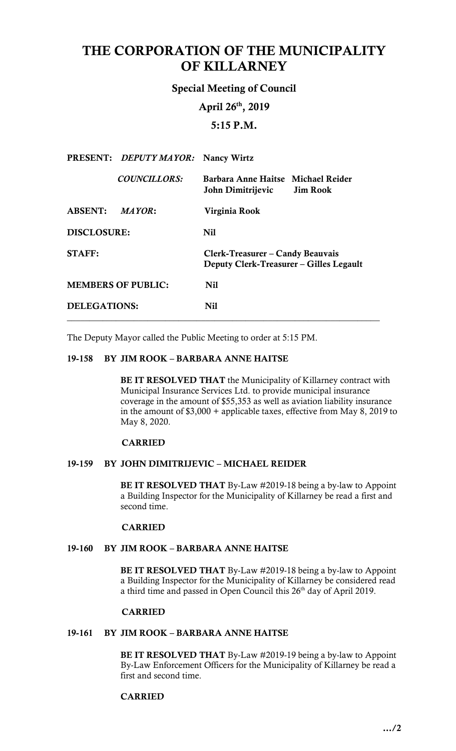# THE CORPORATION OF THE MUNICIPALITY OF KILLARNEY

Special Meeting of Council

April 26th, 2019

5:15 P.M.

|                           | PRESENT: DEPUTY MAYOR: Nancy Wirtz |                                                                             |
|---------------------------|------------------------------------|-----------------------------------------------------------------------------|
|                           | <b>COUNCILLORS:</b>                | Barbara Anne Haitse Michael Reider<br>John Dimitrijevic Jim Rook            |
| ABSENT: MAYOR:            |                                    | Virginia Rook                                                               |
| <b>DISCLOSURE:</b>        |                                    | Nil                                                                         |
| <b>STAFF:</b>             |                                    | Clerk-Treasurer – Candy Beauvais<br>Deputy Clerk-Treasurer – Gilles Legault |
| <b>MEMBERS OF PUBLIC:</b> |                                    | <b>Nil</b>                                                                  |
| <b>DELEGATIONS:</b>       |                                    | Nil                                                                         |

The Deputy Mayor called the Public Meeting to order at 5:15 PM.

# 19-158 BY JIM ROOK – BARBARA ANNE HAITSE

BE IT RESOLVED THAT the Municipality of Killarney contract with coverage in the amount of \$55,353 as well as aviation liability insurance in the amount of \$3,000 + applicable taxes, effective from May 8, 2019 to Municipal Insurance Services Ltd. to provide municipal insurance May 8, 2020.

#### CARRIED

#### 19-159 BY JOHN DIMITRIJEVIC – MICHAEL REIDER

BE IT RESOLVED THAT By-Law #2019-18 being a by-law to Appoint a Building Inspector for the Municipality of Killarney be read a first and second time.

# CARRIED

## 19-160 BY JIM ROOK – BARBARA ANNE HAITSE

BE IT RESOLVED THAT By-Law #2019-18 being a by-law to Appoint a Building Inspector for the Municipality of Killarney be considered read a third time and passed in Open Council this 26<sup>th</sup> day of April 2019.

# CARRIED

### 19-161 BY JIM ROOK – BARBARA ANNE HAITSE

BE IT RESOLVED THAT By-Law #2019-19 being a by-law to Appoint By-Law Enforcement Officers for the Municipality of Killarney be read a first and second time.

# CARRIED